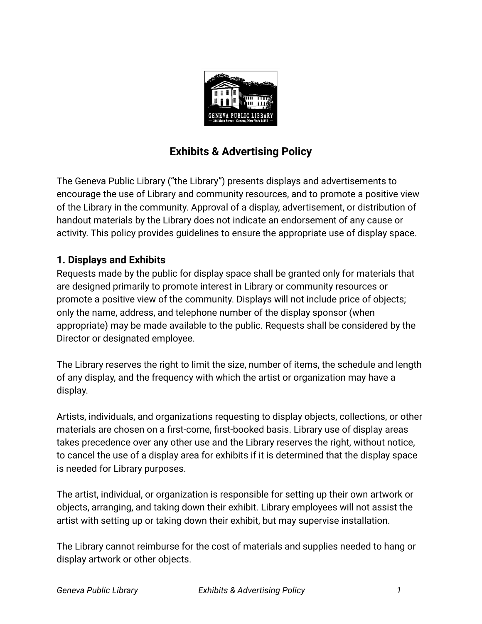

## **Exhibits & Advertising Policy**

The Geneva Public Library ("the Library") presents displays and advertisements to encourage the use of Library and community resources, and to promote a positive view of the Library in the community. Approval of a display, advertisement, or distribution of handout materials by the Library does not indicate an endorsement of any cause or activity. This policy provides guidelines to ensure the appropriate use of display space.

## **1. Displays and Exhibits**

Requests made by the public for display space shall be granted only for materials that are designed primarily to promote interest in Library or community resources or promote a positive view of the community. Displays will not include price of objects; only the name, address, and telephone number of the display sponsor (when appropriate) may be made available to the public. Requests shall be considered by the Director or designated employee.

The Library reserves the right to limit the size, number of items, the schedule and length of any display, and the frequency with which the artist or organization may have a display.

Artists, individuals, and organizations requesting to display objects, collections, or other materials are chosen on a first-come, first-booked basis. Library use of display areas takes precedence over any other use and the Library reserves the right, without notice, to cancel the use of a display area for exhibits if it is determined that the display space is needed for Library purposes.

The artist, individual, or organization is responsible for setting up their own artwork or objects, arranging, and taking down their exhibit. Library employees will not assist the artist with setting up or taking down their exhibit, but may supervise installation.

The Library cannot reimburse for the cost of materials and supplies needed to hang or display artwork or other objects.